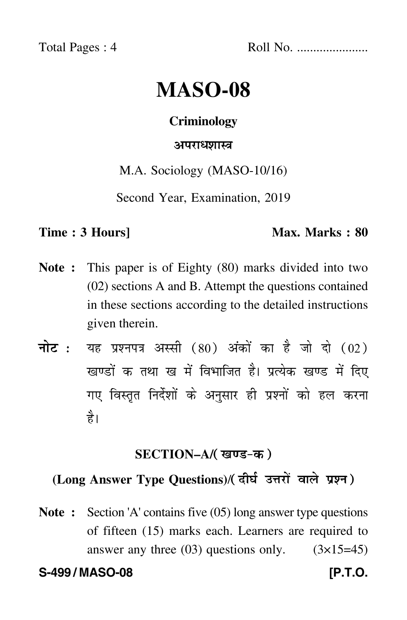Total Pages : 4 Roll No. ......................

# **MASO-08**

### **Criminology**

# <mark>अपराध</mark>शास्त्र

M.A. Sociology (MASO-10/16)

Second Year, Examination, 2019

#### **Time : 3 Hours]** Max. Marks : 80

- **Note :** This paper is of Eighty (80) marks divided into two (02) sections A and B. Attempt the questions contained in these sections according to the detailed instructions given therein.
- नोट : यह प्रश्नपत्र अस्सी (80) अंकों का है जो दो (02) खण्डों क तथा ख में विभाजित है। प्रत्येक खण्ड में दिए गए विस्तृत निर्देशों के अनुसार ही प्रश्नों को हल करन<mark>ा</mark> है।

# **SECTION–A/**

# (Long Answer Type Questions)/( दीर्घ उत्तरों वाले प्रश्न )

**Note :** Section 'A' contains five (05) long answer type questions of fifteen (15) marks each. Learners are required to answer any three  $(03)$  questions only.  $(3\times15=45)$ 

**S-499 / MASO-08 [P.T.O.**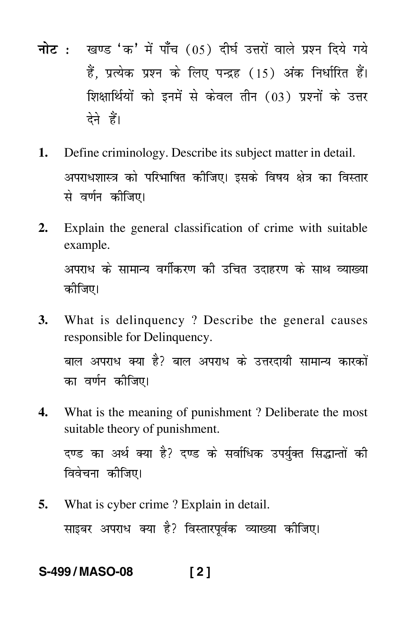- <mark>नोट</mark> : खण्ड 'क' में पाँच (05) दीर्घ उत्तरों वाले प्रश्न दिये गये हैं, प्रत्येक प्रश्न के लिए पन्द्रह (15) अंक निर्धारित हैं। शिक्षार्थियों को इनमें से केवल तीन (03) प्रश्नों के उत्तर देने हैं।
- **1.** Define criminology. Describe its subject matter in detail. अपराधशास्त्र को परिभाषित कीजिए। इसके विषय क्षेत्र का विस्तार से वर्णन कीजिए।
- **2.** Explain the general classification of crime with suitable example. अपराध के सामान्य वर्गीकरण की उचित उदाहरण के साथ व्याख्या कीजिए।
- **3.** What is delinquency ? Describe the general causes responsible for Delinquency. बाल अपराध क्या है? बाल अपराध के उत्तरदायी सामान्य कारकों का वर्णन कीजिए।
- **4.** What is the meaning of punishment ? Deliberate the most suitable theory of punishment.

दण्ड का अर्थ क्या है? दण्ड के सर्वाधिक उपर्युक्त सिद्धान्तों की विवेचना कीजिए।

**5.** What is cyber crime ? Explain in detail. साइबर अपराध क्या है? विस्तारपूर्वक व्याख्या कोजिए।

# **S-499 / MASO-08 [ 2 ]**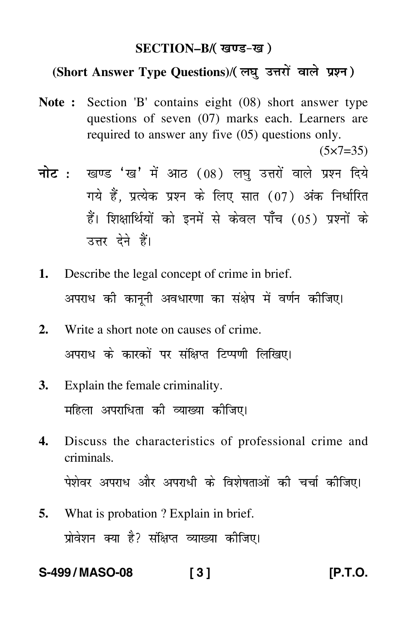# **SECTION–B/**

# (Short Answer Type Questions)/( लघु उत्तरों वाले प्रश्न )

**Note :** Section 'B' contains eight (08) short answer type questions of seven (07) marks each. Learners are required to answer any five (05) questions only.

 $(5 \times 7 = 35)$ 

- <mark>नोट</mark> : खण्ड 'ख' में आठ (08) लघु उत्तरों वाले प्रश्न दिये गये हैं, प्रत्येक प्रश्न के लिए सात (07) अंक निर्धारित हैं। शिक्षार्थियों को इनमें से केवल पाँच (05) प्रश्नों के उत्तर देने हैं।
- **1.** Describe the legal concept of crime in brief. अपराध की कानूनी अवधारणा का संक्षेप में वर्णन कीजिए।
- **2.** Write a short note on causes of crime. अपराध के कारकों पर संक्षिप्त टिप्पणी लिखिए।
- **3.** Explain the female criminality. महिला अपराधिता की व्याख्या क<mark>ी</mark>जिए।
- **4.** Discuss the characteristics of professional crime and criminals. पेशेवर अपराध और अपराधी के विशेषताओं की चर्चा कीजिए।
- **5.** What is probation ? Explain in brief. प्रोवेशन क्या है? संक्षिप्त व्याख्या कीजिए।

**S-499 / MASO-08 [ 3 ] [P.T.O.**